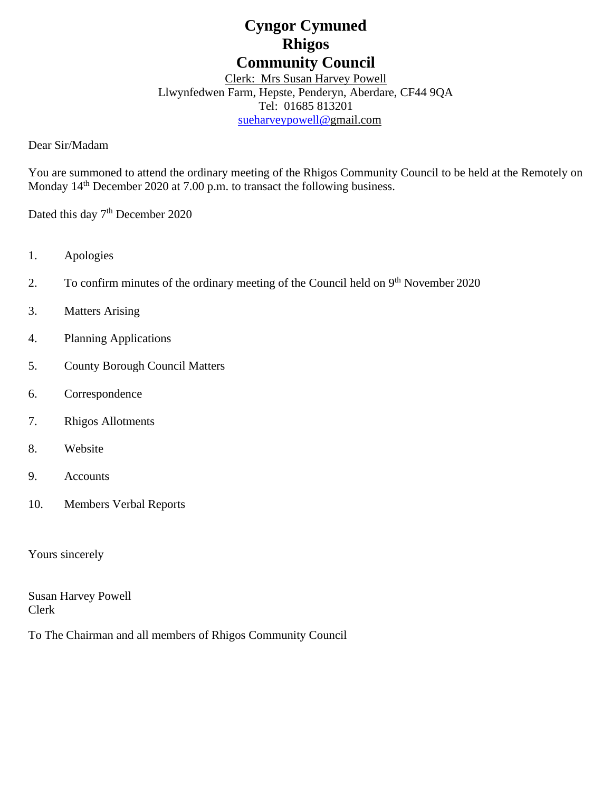# **Cyngor Cymuned Rhigos Community Council**

Clerk: Mrs Susan Harvey Powell Llwynfedwen Farm, Hepste, Penderyn, Aberdare, CF44 9QA Tel: 01685 813201 [sueharveypowell@g](mailto:sharveypowell@comin-infants.co.uk)mail.com

Dear Sir/Madam

You are summoned to attend the ordinary meeting of the Rhigos Community Council to be held at the Remotely on Monday 14<sup>th</sup> December 2020 at 7.00 p.m. to transact the following business.

Dated this day 7<sup>th</sup> December 2020

- 1. Apologies
- 2. To confirm minutes of the ordinary meeting of the Council held on  $9<sup>th</sup>$  November 2020
- 3. Matters Arising
- 4. Planning Applications
- 5. County Borough Council Matters
- 6. Correspondence
- 7. Rhigos Allotments
- 8. Website
- 9. Accounts
- 10. Members Verbal Reports

Yours sincerely

Susan Harvey Powell Clerk

To The Chairman and all members of Rhigos Community Council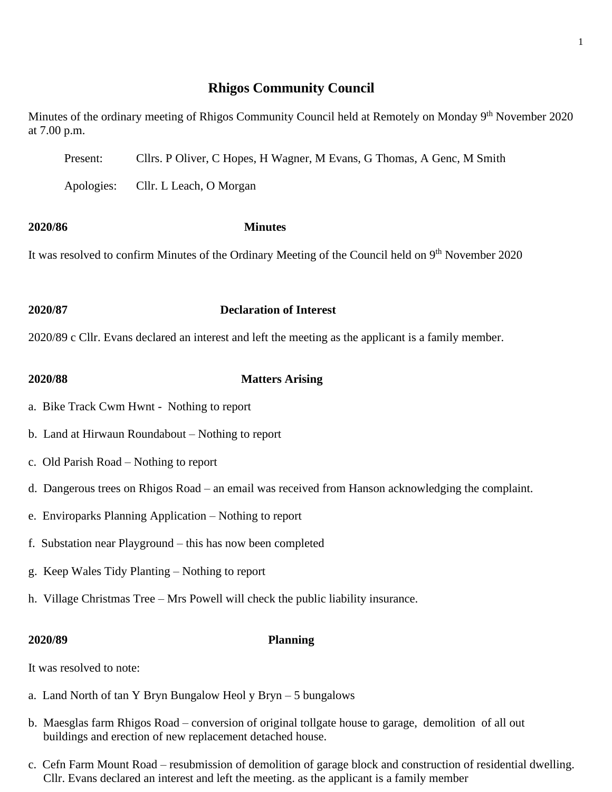# **Rhigos Community Council**

Minutes of the ordinary meeting of Rhigos Community Council held at Remotely on Monday 9<sup>th</sup> November 2020 at 7.00 p.m.

Present: Cllrs. P Oliver, C Hopes, H Wagner, M Evans, G Thomas, A Genc, M Smith

Apologies: Cllr. L Leach, O Morgan

### **2020/86 Minutes**

It was resolved to confirm Minutes of the Ordinary Meeting of the Council held on 9<sup>th</sup> November 2020

## **2020/87 Declaration of Interest**

2020/89 c Cllr. Evans declared an interest and left the meeting as the applicant is a family member.

### **2020/88 Matters Arising**

- a. Bike Track Cwm Hwnt Nothing to report
- b. Land at Hirwaun Roundabout Nothing to report
- c. Old Parish Road Nothing to report
- d. Dangerous trees on Rhigos Road an email was received from Hanson acknowledging the complaint.
- e. Enviroparks Planning Application Nothing to report
- f. Substation near Playground this has now been completed
- g. Keep Wales Tidy Planting Nothing to report
- h. Village Christmas Tree Mrs Powell will check the public liability insurance.

### **2020/89 Planning**

It was resolved to note:

- a. Land North of tan Y Bryn Bungalow Heol y Bryn 5 bungalows
- b. Maesglas farm Rhigos Road conversion of original tollgate house to garage, demolition of all out buildings and erection of new replacement detached house.
- c. Cefn Farm Mount Road resubmission of demolition of garage block and construction of residential dwelling. Cllr. Evans declared an interest and left the meeting. as the applicant is a family member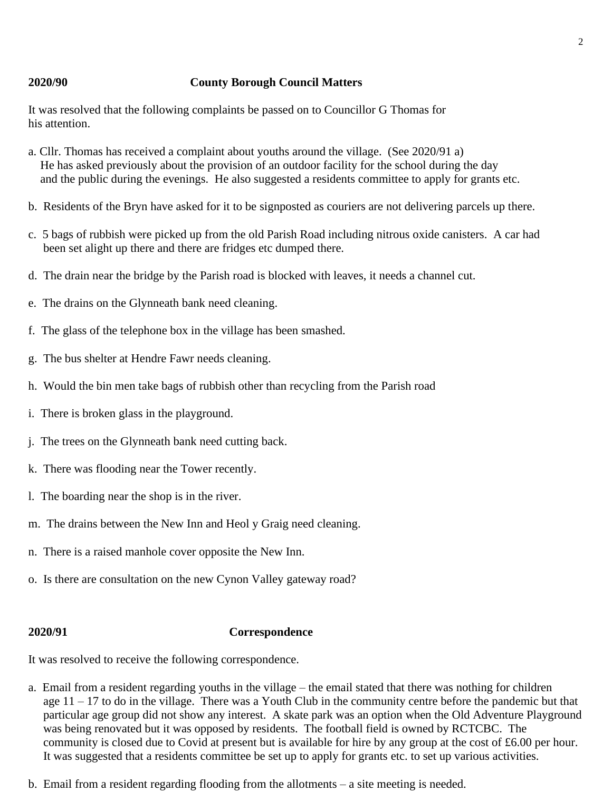### **2020/90 County Borough Council Matters**

It was resolved that the following complaints be passed on to Councillor G Thomas for his attention.

- a. Cllr. Thomas has received a complaint about youths around the village. (See 2020/91 a) He has asked previously about the provision of an outdoor facility for the school during the day and the public during the evenings. He also suggested a residents committee to apply for grants etc.
- b. Residents of the Bryn have asked for it to be signposted as couriers are not delivering parcels up there.
- c. 5 bags of rubbish were picked up from the old Parish Road including nitrous oxide canisters. A car had been set alight up there and there are fridges etc dumped there.
- d. The drain near the bridge by the Parish road is blocked with leaves, it needs a channel cut.
- e. The drains on the Glynneath bank need cleaning.
- f. The glass of the telephone box in the village has been smashed.
- g. The bus shelter at Hendre Fawr needs cleaning.
- h. Would the bin men take bags of rubbish other than recycling from the Parish road
- i. There is broken glass in the playground.
- j. The trees on the Glynneath bank need cutting back.
- k. There was flooding near the Tower recently.
- l. The boarding near the shop is in the river.
- m. The drains between the New Inn and Heol y Graig need cleaning.
- n. There is a raised manhole cover opposite the New Inn.
- o. Is there are consultation on the new Cynon Valley gateway road?

### **2020/91 Correspondence**

It was resolved to receive the following correspondence.

- a. Email from a resident regarding youths in the village the email stated that there was nothing for children age 11 – 17 to do in the village. There was a Youth Club in the community centre before the pandemic but that particular age group did not show any interest. A skate park was an option when the Old Adventure Playground was being renovated but it was opposed by residents. The football field is owned by RCTCBC. The community is closed due to Covid at present but is available for hire by any group at the cost of £6.00 per hour. It was suggested that a residents committee be set up to apply for grants etc. to set up various activities.
- b. Email from a resident regarding flooding from the allotments a site meeting is needed.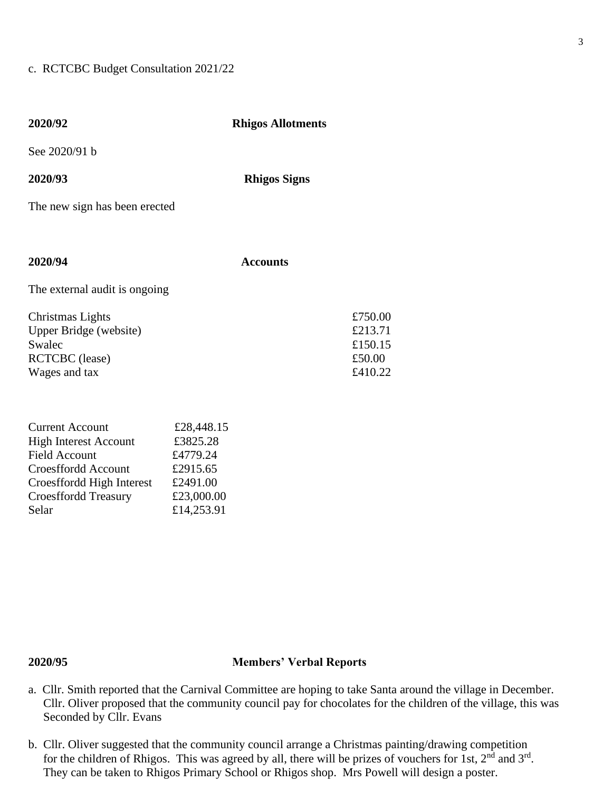### c. RCTCBC Budget Consultation 2021/22

Croesffordd Account £2915.65 Croesffordd High Interest £2491.00 Croesffordd Treasury £23,000.00 Selar  $£14,253.91$ 

| 2020/92                                                                                        |                                    | <b>Rhigos Allotments</b> |                                                    |
|------------------------------------------------------------------------------------------------|------------------------------------|--------------------------|----------------------------------------------------|
| See 2020/91 b                                                                                  |                                    |                          |                                                    |
| 2020/93                                                                                        |                                    | <b>Rhigos Signs</b>      |                                                    |
| The new sign has been erected                                                                  |                                    |                          |                                                    |
|                                                                                                |                                    |                          |                                                    |
| 2020/94                                                                                        |                                    | <b>Accounts</b>          |                                                    |
| The external audit is ongoing                                                                  |                                    |                          |                                                    |
| Christmas Lights<br>Upper Bridge (website)<br>Swalec<br><b>RCTCBC</b> (lease)<br>Wages and tax |                                    |                          | £750.00<br>£213.71<br>£150.15<br>£50.00<br>£410.22 |
| <b>Current Account</b><br><b>High Interest Account</b><br><b>Field Account</b>                 | £28,448.15<br>£3825.28<br>£4779.24 |                          |                                                    |

# **2020/95 Members' Verbal Reports**

- a. Cllr. Smith reported that the Carnival Committee are hoping to take Santa around the village in December. Cllr. Oliver proposed that the community council pay for chocolates for the children of the village, this was Seconded by Cllr. Evans
- b. Cllr. Oliver suggested that the community council arrange a Christmas painting/drawing competition for the children of Rhigos. This was agreed by all, there will be prizes of vouchers for 1st,  $2<sup>nd</sup>$  and  $3<sup>rd</sup>$ . They can be taken to Rhigos Primary School or Rhigos shop. Mrs Powell will design a poster.